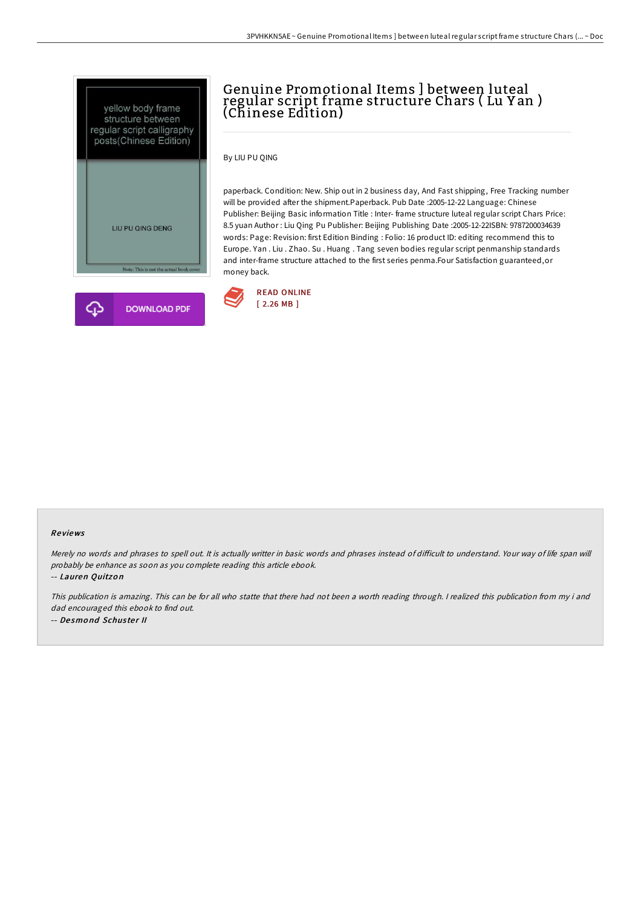



## Genuine Promotional Items ] between luteal regular script frame structure Chars ( Lu Y an ) (Chinese Edition)

By LIU PU QING

paperback. Condition: New. Ship out in 2 business day, And Fast shipping, Free Tracking number will be provided after the shipment.Paperback. Pub Date :2005-12-22 Language: Chinese Publisher: Beijing Basic information Title : Inter- frame structure luteal regular script Chars Price: 8.5 yuan Author : Liu Qing Pu Publisher: Beijing Publishing Date :2005-12-22ISBN: 9787200034639 words: Page: Revision: first Edition Binding : Folio: 16 product ID: editing recommend this to Europe. Yan . Liu . Zhao. Su . Huang . Tang seven bodies regular script penmanship standards and inter-frame structure attached to the first series penma.Four Satisfaction guaranteed,or money back.



## Re views

Merely no words and phrases to spell out. It is actually writter in basic words and phrases instead of difficult to understand. Your way of life span will probably be enhance as soon as you complete reading this article ebook. -- Lauren Quitzo <sup>n</sup>

This publication is amazing. This can be for all who statte that there had not been <sup>a</sup> worth reading through. <sup>I</sup> realized this publication from my i and dad encouraged this ebook to find out. -- De smo nd Schus te <sup>r</sup> II